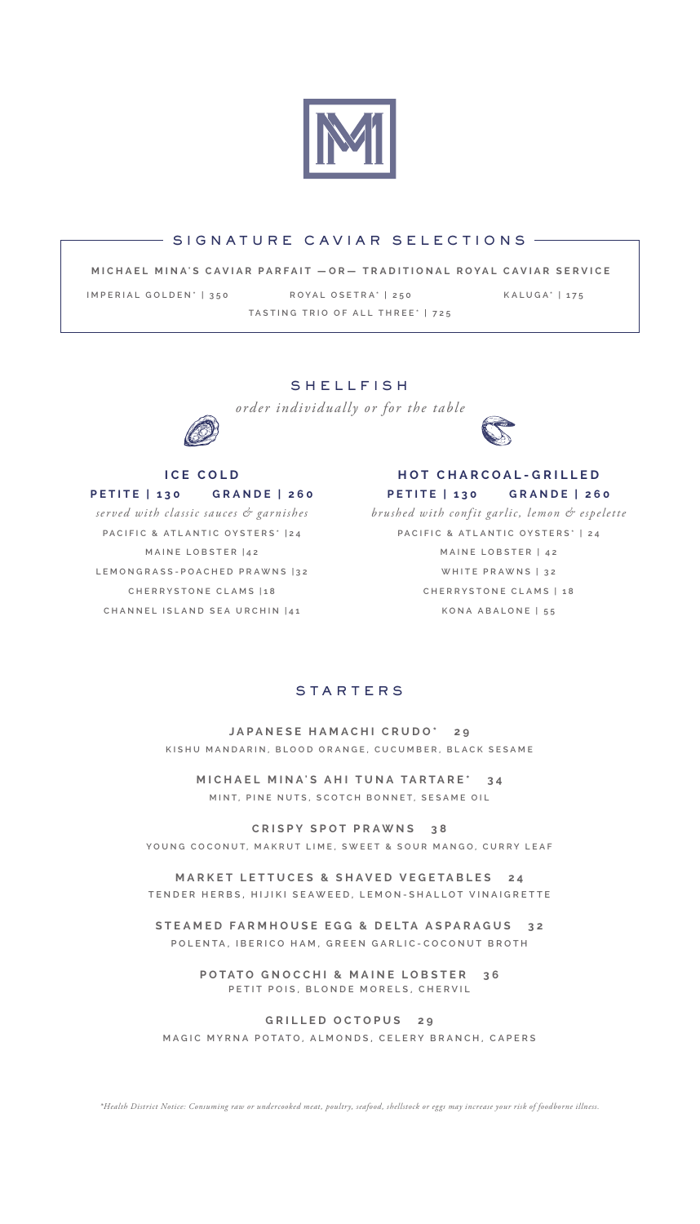

### $-$  SIGNATURE CAVIAR SELECTIONS  $-$

**MICHAEL MINA'S CAVIAR PARFAIT —OR— TRADITIONAL ROYAL CAVIAR SERVICE**

**IMPERIAL GOLDEN\* | 350 ROYAL OSETRA\* | 250 KALUGA\* | 175 TASTING TRIO OF ALL THREE\* | 725**

## SHELLFISH

*order individually or for the table*



#### **ICE COLD**

**PETITE | 130 GRANDE | 260**

*served with classic sauces & garnishes* **PACIFIC & ATLANTIC OYSTERS\* |24 MAINE LOBSTER |42 LEMONGRASS-POACHED PRAWNS |32 CHERRYSTONE CLAMS |18 CHANNEL ISLAND SEA URCHIN |41**



**HOT CHARCOAL-GRILLED PETITE | 130 GRANDE | 260**

*brushed with confit garlic, lemon & espelette* **PACIFIC & ATLANTIC OYSTERS\* | 24 MAINE LOBSTER | 42 WHITE PRAWNS | 32 CHERRYSTONE CLAMS | 18 KONA ABALONE | 55**

# **STARTERS**

**JAPANESE HAMACHI CRUDO\* 29 KISHU MANDARIN, BLOOD ORANGE, CUCUMBER, BLACK SESAME**

**MICHAEL MINA'S AHI TUNA TARTARE\* 34 MINT, PINE NUTS, SCOTCH BONNET, SESAME OIL**

**CRISPY SPOT PRAWNS 38 YOUNG COCONUT, MAKRUT LIME, SWEET & SOUR MANGO, CURRY LEAF**

**MARKET LETTUCES & SHAVED VEGETABLES 24 TENDER HERBS, HIJIKI SEAWEED, LEMON-SHALLOT VINAIGRETTE**

**STEAMED FARMHOUSE EGG & DELTA ASPARAGUS 32 POLENTA, IBERICO HAM, GREEN GARLIC-COCONUT BROTH**

> **POTATO GNOCCHI & MAINE LOBSTER 36 PETIT POIS, BLONDE MORELS, CHERVIL**

**GRILLED OCTOPUS 29 MAGIC MYRNA POTATO, ALMONDS, CELERY BRANCH, CAPERS**

*\*Health District Notice: Consuming raw or undercooked meat, poultry, seafood, shellstock or eggs may increase your risk of foodborne illness.*